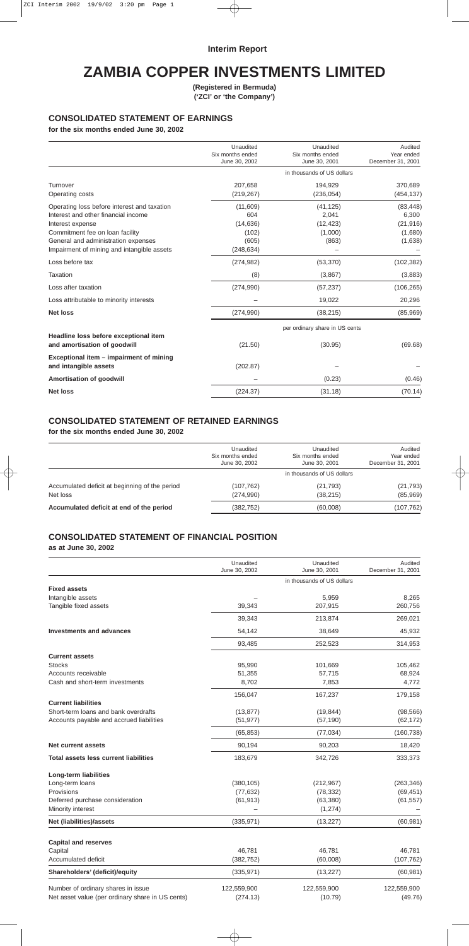## **Interim Report**

# **ZAMBIA COPPER INVESTMENTS LIMITED**

**(Registered in Bermuda) ('ZCI' or 'the Company')**

## **CONSOLIDATED STATEMENT OF EARNINGS**

**for the six months ended June 30, 2002**

|                                                                                                                                                                                                                                | Unaudited<br>Six months ended<br>June 30, 2002               | Unaudited<br>Six months ended<br>June 30, 2001      | Audited<br>Year ended<br>December 31, 2001            |
|--------------------------------------------------------------------------------------------------------------------------------------------------------------------------------------------------------------------------------|--------------------------------------------------------------|-----------------------------------------------------|-------------------------------------------------------|
|                                                                                                                                                                                                                                | in thousands of US dollars                                   |                                                     |                                                       |
| Turnover<br>Operating costs                                                                                                                                                                                                    | 207,658<br>(219, 267)                                        | 194,929<br>(236, 054)                               | 370,689<br>(454, 137)                                 |
| Operating loss before interest and taxation<br>Interest and other financial income<br>Interest expense<br>Commitment fee on loan facility<br>General and administration expenses<br>Impairment of mining and intangible assets | (11,609)<br>604<br>(14, 636)<br>(102)<br>(605)<br>(248, 634) | (41, 125)<br>2,041<br>(12, 423)<br>(1,000)<br>(863) | (83, 448)<br>6,300<br>(21, 916)<br>(1,680)<br>(1,638) |
| Loss before tax                                                                                                                                                                                                                | (274, 982)                                                   | (53, 370)                                           | (102, 382)                                            |
| <b>Taxation</b>                                                                                                                                                                                                                | (8)                                                          | (3,867)                                             | (3,883)                                               |
| Loss after taxation                                                                                                                                                                                                            | (274, 990)                                                   | (57, 237)                                           | (106, 265)                                            |
| Loss attributable to minority interests                                                                                                                                                                                        |                                                              | 19,022                                              | 20,296                                                |
| <b>Net loss</b>                                                                                                                                                                                                                | (274, 990)                                                   | (38, 215)                                           | (85,969)                                              |
| Headline loss before exceptional item<br>and amortisation of goodwill                                                                                                                                                          | (21.50)                                                      | per ordinary share in US cents<br>(30.95)           | (69.68)                                               |
| Exceptional item - impairment of mining<br>and intangible assets                                                                                                                                                               | (202.87)                                                     |                                                     |                                                       |
| <b>Amortisation of goodwill</b>                                                                                                                                                                                                |                                                              | (0.23)                                              | (0.46)                                                |
| <b>Net loss</b>                                                                                                                                                                                                                | (224.37)                                                     | (31.18)                                             | (70.14)                                               |

### **CONSOLIDATED STATEMENT OF RETAINED EARNINGS**

**for the six months ended June 30, 2002**

|                                                | Unaudited<br>Six months ended<br>June 30, 2002 | Unaudited<br>Six months ended<br>June 30, 2001 | Audited<br>Year ended<br>December 31, 2001 |
|------------------------------------------------|------------------------------------------------|------------------------------------------------|--------------------------------------------|
|                                                |                                                |                                                |                                            |
| Accumulated deficit at beginning of the period | (107, 762)                                     | (21, 793)                                      | (21, 793)                                  |
| Net loss                                       | (274,990)                                      | (38, 215)                                      | (85,969)                                   |
| Accumulated deficit at end of the period       | (382, 752)                                     | (60,008)                                       | (107,762)                                  |

## **CONSOLIDATED STATEMENT OF FINANCIAL POSITION**

**as at June 30, 2002**

|                                                  | Unaudited<br>June 30, 2002 | Unaudited<br>June 30, 2001 | Audited<br>December 31, 2001 |
|--------------------------------------------------|----------------------------|----------------------------|------------------------------|
|                                                  |                            | in thousands of US dollars |                              |
| <b>Fixed assets</b>                              |                            |                            |                              |
| Intangible assets                                |                            | 5,959                      | 8,265                        |
| Tangible fixed assets                            | 39,343                     | 207,915                    | 260,756                      |
|                                                  | 39,343                     | 213,874                    | 269,021                      |
| <b>Investments and advances</b>                  | 54,142                     | 38,649                     | 45,932                       |
|                                                  | 93,485                     | 252,523                    | 314,953                      |
| <b>Current assets</b>                            |                            |                            |                              |
| <b>Stocks</b>                                    | 95,990                     | 101,669                    | 105,462                      |
| Accounts receivable                              | 51,355                     | 57,715                     | 68,924                       |
| Cash and short-term investments                  | 8,702                      | 7,853                      | 4,772                        |
|                                                  | 156,047                    | 167,237                    | 179,158                      |
| <b>Current liabilities</b>                       |                            |                            |                              |
| Short-term loans and bank overdrafts             | (13, 877)                  | (19, 844)                  | (98, 566)                    |
| Accounts payable and accrued liabilities         | (51, 977)                  | (57, 190)                  | (62, 172)                    |
|                                                  | (65, 853)                  | (77, 034)                  | (160, 738)                   |
| Net current assets                               | 90,194                     | 90,203                     | 18,420                       |
| Total assets less current liabilities            | 183,679                    | 342,726                    | 333,373                      |
| <b>Long-term liabilities</b>                     |                            |                            |                              |
| Long-term loans                                  | (380, 105)                 | (212, 967)                 | (263, 346)                   |
| Provisions                                       | (77, 632)                  | (78, 332)                  | (69, 451)                    |
| Deferred purchase consideration                  | (61, 913)                  | (63, 380)                  | (61, 557)                    |
| Minority interest                                |                            | (1, 274)                   |                              |
| Net (liabilities)/assets                         | (335, 971)                 | (13, 227)                  | (60, 981)                    |
| <b>Capital and reserves</b>                      |                            |                            |                              |
| Capital                                          | 46,781                     | 46,781                     | 46,781                       |
| Accumulated deficit                              | (382, 752)                 | (60,008)                   | (107, 762)                   |
| Shareholders' (deficit)/equity                   | (335, 971)                 | (13, 227)                  | (60, 981)                    |
| Number of ordinary shares in issue               | 122,559,900                | 122,559,900                | 122,559,900                  |
| Net asset value (per ordinary share in US cents) | (274.13)                   | (10.79)                    | (49.76)                      |